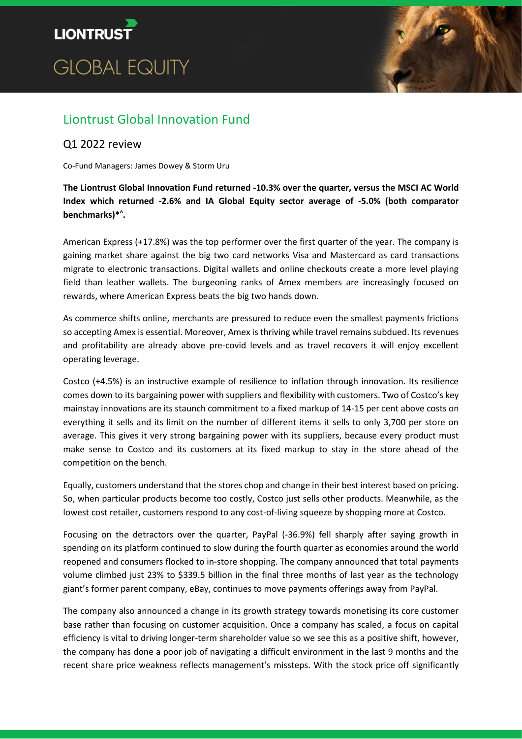

# Liontrust Global Innovation Fund

## Q1 2022 review

Co-Fund Managers: James Dowey & Storm Uru

**The Liontrust Global Innovation Fund returned -10.3% over the quarter, versus the MSCI AC World Index which returned -2.6% and IA Global Equity sector average of -5.0% (both comparator benchmarks)\* ^ .** 

American Express (+17.8%) was the top performer over the first quarter of the year. The company is gaining market share against the big two card networks Visa and Mastercard as card transactions migrate to electronic transactions. Digital wallets and online checkouts create a more level playing field than leather wallets. The burgeoning ranks of Amex members are increasingly focused on rewards, where American Express beats the big two hands down.

As commerce shifts online, merchants are pressured to reduce even the smallest payments frictions so accepting Amex is essential. Moreover, Amex is thriving while travel remains subdued. Its revenues and profitability are already above pre-covid levels and as travel recovers it will enjoy excellent operating leverage.

Costco (+4.5%) is an instructive example of resilience to inflation through innovation. Its resilience comes down to its bargaining power with suppliers and flexibility with customers. Two of Costco's key mainstay innovations are its staunch commitment to a fixed markup of 14-15 per cent above costs on everything it sells and its limit on the number of different items it sells to only 3,700 per store on average. This gives it very strong bargaining power with its suppliers, because every product must make sense to Costco and its customers at its fixed markup to stay in the store ahead of the competition on the bench.

Equally, customers understand that the stores chop and change in their best interest based on pricing. So, when particular products become too costly, Costco just sells other products. Meanwhile, as the lowest cost retailer, customers respond to any cost-of-living squeeze by shopping more at Costco.

Focusing on the detractors over the quarter, PayPal (-36.9%) fell sharply after saying growth in spending on its platform continued to slow during the fourth quarter as economies around the world reopened and consumers flocked to in-store shopping. The company announced that total payments volume climbed just 23% to \$339.5 billion in the final three months of last year as the technology giant's former parent company, eBay, continues to move payments offerings away from PayPal.

The company also announced a change in its growth strategy towards monetising its core customer base rather than focusing on customer acquisition. Once a company has scaled, a focus on capital efficiency is vital to driving longer-term shareholder value so we see this as a positive shift, however, the company has done a poor job of navigating a difficult environment in the last 9 months and the recent share price weakness reflects management's missteps. With the stock price off significantly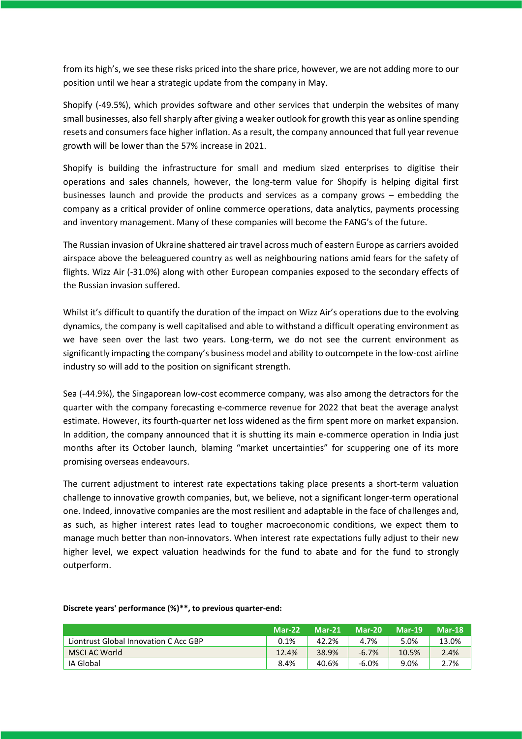from its high's, we see these risks priced into the share price, however, we are not adding more to our position until we hear a strategic update from the company in May.

Shopify (-49.5%), which provides software and other services that underpin the websites of many small businesses, also fell sharply after giving a weaker outlook for growth this year as online spending resets and consumers face higher inflation. As a result, the company announced that full year revenue growth will be lower than the 57% increase in 2021.

Shopify is building the infrastructure for small and medium sized enterprises to digitise their operations and sales channels, however, the long-term value for Shopify is helping digital first businesses launch and provide the products and services as a company grows – embedding the company as a critical provider of online commerce operations, data analytics, payments processing and inventory management. Many of these companies will become the FANG's of the future.

The Russian invasion of Ukraine shattered air travel across much of eastern Europe as carriers avoided airspace above the beleaguered country as well as neighbouring nations amid fears for the safety of flights. Wizz Air (-31.0%) along with other European companies exposed to the secondary effects of the Russian invasion suffered.

Whilst it's difficult to quantify the duration of the impact on Wizz Air's operations due to the evolving dynamics, the company is well capitalised and able to withstand a difficult operating environment as we have seen over the last two years. Long-term, we do not see the current environment as significantly impacting the company's business model and ability to outcompete in the low-cost airline industry so will add to the position on significant strength.

Sea (-44.9%), the Singaporean low-cost ecommerce company, was also among the detractors for the quarter with the company forecasting e-commerce revenue for 2022 that beat the average analyst estimate. However, its fourth-quarter net loss widened as the firm spent more on market expansion. In addition, the company announced that it is shutting its main e-commerce operation in India just months after its October launch, blaming "market uncertainties" for scuppering one of its more promising overseas endeavours.

The current adjustment to interest rate expectations taking place presents a short-term valuation challenge to innovative growth companies, but, we believe, not a significant longer-term operational one. Indeed, innovative companies are the most resilient and adaptable in the face of challenges and, as such, as higher interest rates lead to tougher macroeconomic conditions, we expect them to manage much better than non-innovators. When interest rate expectations fully adjust to their new higher level, we expect valuation headwinds for the fund to abate and for the fund to strongly outperform.

|                                       | $Mar-22$ | $Mar-21$ | <b>Mar-20</b> | <b>Mar-19</b> | <b>Mar-18</b> |
|---------------------------------------|----------|----------|---------------|---------------|---------------|
| Liontrust Global Innovation C Acc GBP | $0.1\%$  | 42.2%    | 4.7%          | 5.0%          | 13.0%         |
| MSCI AC World                         | 12.4%    | 38.9%    | $-6.7%$       | 10.5%         | 2.4%          |
| IA Global                             | 8.4%     | 40.6%    | $-6.0%$       | 9.0%          | 2.7%          |

## **Discrete years' performance (%)\*\*, to previous quarter-end:**